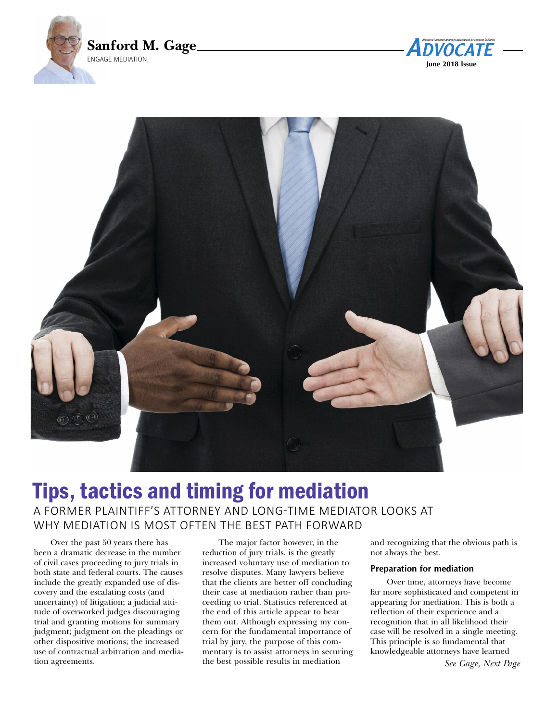





# Tips, tactics and timing for mediation A former plAintiff's Attorney And long-time mediAtor looks At why mediAtion is most often the best pAth forwArd

Over the past 50 years there has been a dramatic decrease in the number of civil cases proceeding to jury trials in both state and federal courts. The causes include the greatly expanded use of discovery and the escalating costs (and uncertainty) of litigation; a judicial attitude of overworked judges discouraging trial and granting motions for summary judgment; judgment on the pleadings or other dispositive motions; the increased use of contractual arbitration and mediation agreements.

The major factor however, in the reduction of jury trials, is the greatly increased voluntary use of mediation to resolve disputes. Many lawyers believe that the clients are better off concluding their case at mediation rather than proceeding to trial. Statistics referenced at the end of this article appear to bear them out. Although expressing my concern for the fundamental importance of trial by jury, the purpose of this commentary is to assist attorneys in securing the best possible results in mediation

and recognizing that the obvious path is not always the best.

#### **Preparation for mediation**

Over time, attorneys have become far more sophisticated and competent in appearing for mediation. This is both a reflection of their experience and a recognition that in all likelihood their case will be resolved in a single meeting. This principle is so fundamental that knowledgeable attorneys have learned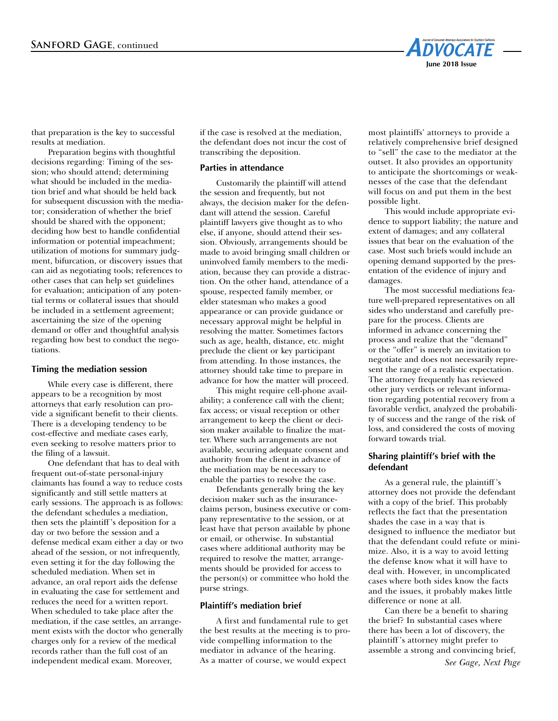

that preparation is the key to successful results at mediation.

Preparation begins with thoughtful decisions regarding: Timing of the session; who should attend; determining what should be included in the mediation brief and what should be held back for subsequent discussion with the mediator; consideration of whether the brief should be shared with the opponent; deciding how best to handle confidential information or potential impeachment; utilization of motions for summary judgment, bifurcation, or discovery issues that can aid as negotiating tools; references to other cases that can help set guidelines for evaluation; anticipation of any potential terms or collateral issues that should be included in a settlement agreement; ascertaining the size of the opening demand or offer and thoughtful analysis regarding how best to conduct the negotiations.

#### **Timing the mediation session**

While every case is different, there appears to be a recognition by most attorneys that early resolution can provide a significant benefit to their clients. There is a developing tendency to be cost-effective and mediate cases early, even seeking to resolve matters prior to the filing of a lawsuit.

One defendant that has to deal with frequent out-of-state personal-injury claimants has found a way to reduce costs significantly and still settle matters at early sessions. The approach is as follows: the defendant schedules a mediation, then sets the plaintiff 's deposition for a day or two before the session and a defense medical exam either a day or two ahead of the session, or not infrequently, even setting it for the day following the scheduled mediation. When set in advance, an oral report aids the defense in evaluating the case for settlement and reduces the need for a written report. When scheduled to take place after the mediation, if the case settles, an arrangement exists with the doctor who generally charges only for a review of the medical records rather than the full cost of an independent medical exam. Moreover,

if the case is resolved at the mediation, the defendant does not incur the cost of transcribing the deposition.

#### **Parties in attendance**

Customarily the plaintiff will attend the session and frequently, but not always, the decision maker for the defendant will attend the session. Careful plaintiff lawyers give thought as to who else, if anyone, should attend their session. Obviously, arrangements should be made to avoid bringing small children or uninvolved family members to the mediation, because they can provide a distraction. On the other hand, attendance of a spouse, respected family member, or elder statesman who makes a good appearance or can provide guidance or necessary approval might be helpful in resolving the matter. Sometimes factors such as age, health, distance, etc. might preclude the client or key participant from attending. In those instances, the attorney should take time to prepare in advance for how the matter will proceed.

This might require cell-phone availability; a conference call with the client; fax access; or visual reception or other arrangement to keep the client or decision maker available to finalize the matter. Where such arrangements are not available, securing adequate consent and authority from the client in advance of the mediation may be necessary to enable the parties to resolve the case.

Defendants generally bring the key decision maker such as the insuranceclaims person, business executive or company representative to the session, or at least have that person available by phone or email, or otherwise. In substantial cases where additional authority may be required to resolve the matter, arrangements should be provided for access to the person(s) or committee who hold the purse strings.

#### **Plaintiff's mediation brief**

A first and fundamental rule to get the best results at the meeting is to provide compelling information to the mediator in advance of the hearing. As a matter of course, we would expect

most plaintiffs' attorneys to provide a relatively comprehensive brief designed to "sell" the case to the mediator at the outset. It also provides an opportunity to anticipate the shortcomings or weaknesses of the case that the defendant will focus on and put them in the best possible light.

This would include appropriate evidence to support liability; the nature and extent of damages; and any collateral issues that bear on the evaluation of the case. Most such briefs would include an opening demand supported by the presentation of the evidence of injury and damages.

The most successful mediations feature well-prepared representatives on all sides who understand and carefully prepare for the process. Clients are informed in advance concerning the process and realize that the "demand" or the "offer" is merely an invitation to negotiate and does not necessarily represent the range of a realistic expectation. The attorney frequently has reviewed other jury verdicts or relevant information regarding potential recovery from a favorable verdict, analyzed the probability of success and the range of the risk of loss, and considered the costs of moving forward towards trial.

# **Sharing plaintiff's brief with the defendant**

As a general rule, the plaintiff 's attorney does not provide the defendant with a copy of the brief. This probably reflects the fact that the presentation shades the case in a way that is designed to influence the mediator but that the defendant could refute or minimize. Also, it is a way to avoid letting the defense know what it will have to deal with. However, in uncomplicated cases where both sides know the facts and the issues, it probably makes little difference or none at all.

Can there be a benefit to sharing the brief? In substantial cases where there has been a lot of discovery, the plaintiff 's attorney might prefer to assemble a strong and convincing brief,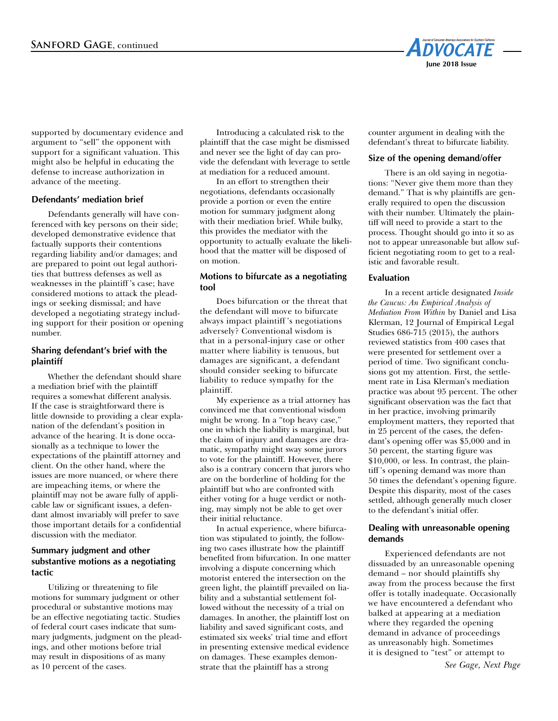

supported by documentary evidence and argument to "sell" the opponent with support for a significant valuation. This might also be helpful in educating the defense to increase authorization in advance of the meeting.

## **Defendants' mediation brief**

Defendants generally will have conferenced with key persons on their side; developed demonstrative evidence that factually supports their contentions regarding liability and/or damages; and are prepared to point out legal authorities that buttress defenses as well as weaknesses in the plaintiff 's case; have considered motions to attack the pleadings or seeking dismissal; and have developed a negotiating strategy including support for their position or opening number.

## **Sharing defendant's brief with the plaintiff**

Whether the defendant should share a mediation brief with the plaintiff requires a somewhat different analysis. If the case is straightforward there is little downside to providing a clear explanation of the defendant's position in advance of the hearing. It is done occasionally as a technique to lower the expectations of the plaintiff attorney and client. On the other hand, where the issues are more nuanced, or where there are impeaching items, or where the plaintiff may not be aware fully of applicable law or significant issues, a defendant almost invariably will prefer to save those important details for a confidential discussion with the mediator.

# **Summary judgment and other substantive motions as a negotiating tactic**

Utilizing or threatening to file motions for summary judgment or other procedural or substantive motions may be an effective negotiating tactic. Studies of federal court cases indicate that summary judgments, judgment on the pleadings, and other motions before trial may result in dispositions of as many as 10 percent of the cases.

Introducing a calculated risk to the plaintiff that the case might be dismissed and never see the light of day can provide the defendant with leverage to settle at mediation for a reduced amount.

In an effort to strengthen their negotiations, defendants occasionally provide a portion or even the entire motion for summary judgment along with their mediation brief. While bulky, this provides the mediator with the opportunity to actually evaluate the likelihood that the matter will be disposed of on motion.

## **Motions to bifurcate as a negotiating tool**

Does bifurcation or the threat that the defendant will move to bifurcate always impact plaintiff 's negotiations adversely? Conventional wisdom is that in a personal-injury case or other matter where liability is tenuous, but damages are significant, a defendant should consider seeking to bifurcate liability to reduce sympathy for the plaintiff.

My experience as a trial attorney has convinced me that conventional wisdom might be wrong. In a "top heavy case," one in which the liability is marginal, but the claim of injury and damages are dramatic, sympathy might sway some jurors to vote for the plaintiff. However, there also is a contrary concern that jurors who are on the borderline of holding for the plaintiff but who are confronted with either voting for a huge verdict or nothing, may simply not be able to get over their initial reluctance.

In actual experience, where bifurcation was stipulated to jointly, the following two cases illustrate how the plaintiff benefited from bifurcation. In one matter involving a dispute concerning which motorist entered the intersection on the green light, the plaintiff prevailed on liability and a substantial settlement followed without the necessity of a trial on damages. In another, the plaintiff lost on liability and saved significant costs, and estimated six weeks' trial time and effort in presenting extensive medical evidence on damages. These examples demonstrate that the plaintiff has a strong

counter argument in dealing with the defendant's threat to bifurcate liability.

# **Size of the opening demand/offer**

There is an old saying in negotiations: "Never give them more than they demand." That is why plaintiffs are generally required to open the discussion with their number. Ultimately the plaintiff will need to provide a start to the process. Thought should go into it so as not to appear unreasonable but allow sufficient negotiating room to get to a realistic and favorable result.

# **Evaluation**

In a recent article designated *Inside the Caucus: An Empirical Analysis of Mediation From Within* by Daniel and Lisa Klerman, 12 Journal of Empirical Legal Studies 686-715 (2015), the authors reviewed statistics from 400 cases that were presented for settlement over a period of time. Two significant conclusions got my attention. First, the settlement rate in Lisa Klerman's mediation practice was about 95 percent. The other significant observation was the fact that in her practice, involving primarily employment matters, they reported that in 25 percent of the cases, the defendant's opening offer was \$5,000 and in 50 percent, the starting figure was \$10,000, or less. In contrast, the plaintiff 's opening demand was more than 50 times the defendant's opening figure. Despite this disparity, most of the cases settled, although generally much closer to the defendant's initial offer.

## **Dealing with unreasonable opening demands**

Experienced defendants are not dissuaded by an unreasonable opening demand – nor should plaintiffs shy away from the process because the first offer is totally inadequate. Occasionally we have encountered a defendant who balked at appearing at a mediation where they regarded the opening demand in advance of proceedings as unreasonably high. Sometimes it is designed to "test" or attempt to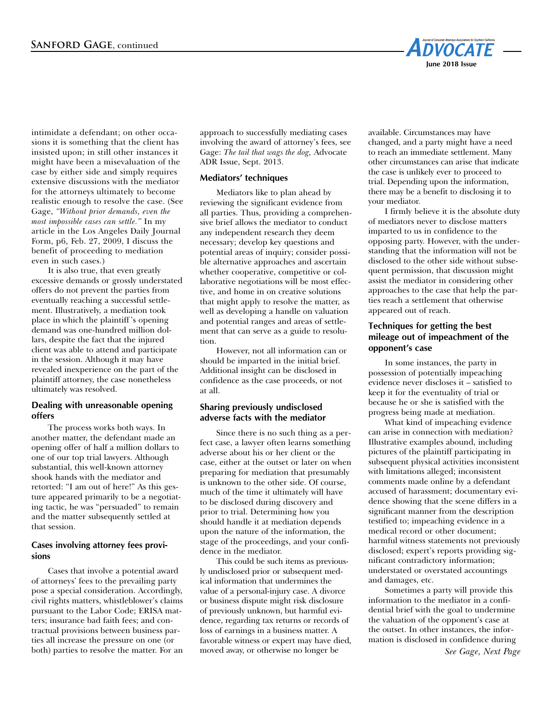

intimidate a defendant; on other occasions it is something that the client has insisted upon; in still other instances it might have been a misevaluation of the case by either side and simply requires extensive discussions with the mediator for the attorneys ultimately to become realistic enough to resolve the case. (See Gage, *"Without prior demands, even the most impossible cases can settle."* In my article in the Los Angeles Daily Journal Form, p6, Feb. 27, 2009, I discuss the benefit of proceeding to mediation even in such cases.)

It is also true, that even greatly excessive demands or grossly understated offers do not prevent the parties from eventually reaching a successful settlement. Illustratively, a mediation took place in which the plaintiff 's opening demand was one-hundred million dollars, despite the fact that the injured client was able to attend and participate in the session. Although it may have revealed inexperience on the part of the plaintiff attorney, the case nonetheless ultimately was resolved.

#### **Dealing with unreasonable opening offers**

The process works both ways. In another matter, the defendant made an opening offer of half a million dollars to one of our top trial lawyers. Although substantial, this well-known attorney shook hands with the mediator and retorted: "I am out of here!" As this gesture appeared primarily to be a negotiating tactic, he was "persuaded" to remain and the matter subsequently settled at that session.

## **Cases involving attorney fees provisions**

Cases that involve a potential award of attorneys' fees to the prevailing party pose a special consideration. Accordingly, civil rights matters, whistleblower's claims pursuant to the Labor Code; ERISA matters; insurance bad faith fees; and contractual provisions between business parties all increase the pressure on one (or both) parties to resolve the matter. For an approach to successfully mediating cases involving the award of attorney's fees, see Gage: *The tail that wags the dog,* Advocate ADR Issue, Sept. 2013.

## **Mediators' techniques**

Mediators like to plan ahead by reviewing the significant evidence from all parties. Thus, providing a comprehensive brief allows the mediator to conduct any independent research they deem necessary; develop key questions and potential areas of inquiry; consider possible alternative approaches and ascertain whether cooperative, competitive or collaborative negotiations will be most effective, and home in on creative solutions that might apply to resolve the matter, as well as developing a handle on valuation and potential ranges and areas of settlement that can serve as a guide to resolution.

However, not all information can or should be imparted in the initial brief. Additional insight can be disclosed in confidence as the case proceeds, or not at all.

## **Sharing previously undisclosed adverse facts with the mediator**

Since there is no such thing as a perfect case, a lawyer often learns something adverse about his or her client or the case, either at the outset or later on when preparing for mediation that presumably is unknown to the other side. Of course, much of the time it ultimately will have to be disclosed during discovery and prior to trial. Determining how you should handle it at mediation depends upon the nature of the information, the stage of the proceedings, and your confidence in the mediator.

This could be such items as previously undisclosed prior or subsequent medical information that undermines the value of a personal-injury case. A divorce or business dispute might risk disclosure of previously unknown, but harmful evidence, regarding tax returns or records of loss of earnings in a business matter. A favorable witness or expert may have died, moved away, or otherwise no longer be

available. Circumstances may have changed, and a party might have a need to reach an immediate settlement. Many other circumstances can arise that indicate the case is unlikely ever to proceed to trial. Depending upon the information, there may be a benefit to disclosing it to your mediator.

I firmly believe it is the absolute duty of mediators never to disclose matters imparted to us in confidence to the opposing party. However, with the understanding that the information will not be disclosed to the other side without subsequent permission, that discussion might assist the mediator in considering other approaches to the case that help the parties reach a settlement that otherwise appeared out of reach.

# **Techniques for getting the best mileage out of impeachment of the opponent's case**

In some instances, the party in possession of potentially impeaching evidence never discloses it – satisfied to keep it for the eventuality of trial or because he or she is satisfied with the progress being made at mediation.

What kind of impeaching evidence can arise in connection with mediation? Illustrative examples abound, including pictures of the plaintiff participating in subsequent physical activities inconsistent with limitations alleged; inconsistent comments made online by a defendant accused of harassment; documentary evidence showing that the scene differs in a significant manner from the description testified to; impeaching evidence in a medical record or other document; harmful witness statements not previously disclosed; expert's reports providing significant contradictory information; understated or overstated accountings and damages, etc.

Sometimes a party will provide this information to the mediator in a confidential brief with the goal to undermine the valuation of the opponent's case at the outset. In other instances, the information is disclosed in confidence during *See Gage, Next Page*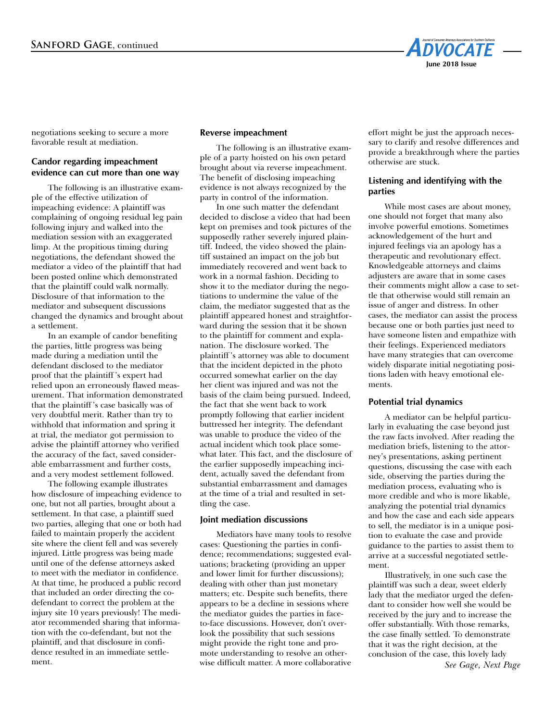

negotiations seeking to secure a more favorable result at mediation.

# **Candor regarding impeachment evidence can cut more than one way**

The following is an illustrative example of the effective utilization of impeaching evidence: A plaintiff was complaining of ongoing residual leg pain following injury and walked into the mediation session with an exaggerated limp. At the propitious timing during negotiations, the defendant showed the mediator a video of the plaintiff that had been posted online which demonstrated that the plaintiff could walk normally. Disclosure of that information to the mediator and subsequent discussions changed the dynamics and brought about a settlement.

In an example of candor benefiting the parties, little progress was being made during a mediation until the defendant disclosed to the mediator proof that the plaintiff 's expert had relied upon an erroneously flawed measurement. That information demonstrated that the plaintiff 's case basically was of very doubtful merit. Rather than try to withhold that information and spring it at trial, the mediator got permission to advise the plaintiff attorney who verified the accuracy of the fact, saved considerable embarrassment and further costs, and a very modest settlement followed.

The following example illustrates how disclosure of impeaching evidence to one, but not all parties, brought about a settlement. In that case, a plaintiff sued two parties, alleging that one or both had failed to maintain properly the accident site where the client fell and was severely injured. Little progress was being made until one of the defense attorneys asked to meet with the mediator in confidence. At that time, he produced a public record that included an order directing the codefendant to correct the problem at the injury site 10 years previously! The mediator recommended sharing that information with the co-defendant, but not the plaintiff, and that disclosure in confidence resulted in an immediate settlement.

#### **Reverse impeachment**

The following is an illustrative example of a party hoisted on his own petard brought about via reverse impeachment. The benefit of disclosing impeaching evidence is not always recognized by the party in control of the information.

In one such matter the defendant decided to disclose a video that had been kept on premises and took pictures of the supposedly rather severely injured plaintiff. Indeed, the video showed the plaintiff sustained an impact on the job but immediately recovered and went back to work in a normal fashion. Deciding to show it to the mediator during the negotiations to undermine the value of the claim, the mediator suggested that as the plaintiff appeared honest and straightforward during the session that it be shown to the plaintiff for comment and explanation. The disclosure worked. The plaintiff 's attorney was able to document that the incident depicted in the photo occurred somewhat earlier on the day her client was injured and was not the basis of the claim being pursued. Indeed, the fact that she went back to work promptly following that earlier incident buttressed her integrity. The defendant was unable to produce the video of the actual incident which took place somewhat later. This fact, and the disclosure of the earlier supposedly impeaching incident, actually saved the defendant from substantial embarrassment and damages at the time of a trial and resulted in settling the case.

#### **Joint mediation discussions**

Mediators have many tools to resolve cases: Questioning the parties in confidence; recommendations; suggested evaluations; bracketing (providing an upper and lower limit for further discussions); dealing with other than just monetary matters; etc. Despite such benefits, there appears to be a decline in sessions where the mediator guides the parties in faceto-face discussions. However, don't overlook the possibility that such sessions might provide the right tone and promote understanding to resolve an otherwise difficult matter. A more collaborative

effort might be just the approach necessary to clarify and resolve differences and provide a breakthrough where the parties otherwise are stuck.

#### **Listening and identifying with the parties**

While most cases are about money, one should not forget that many also involve powerful emotions. Sometimes acknowledgement of the hurt and injured feelings via an apology has a therapeutic and revolutionary effect. Knowledgeable attorneys and claims adjusters are aware that in some cases their comments might allow a case to settle that otherwise would still remain an issue of anger and distress. In other cases, the mediator can assist the process because one or both parties just need to have someone listen and empathize with their feelings. Experienced mediators have many strategies that can overcome widely disparate initial negotiating positions laden with heavy emotional elements.

#### **Potential trial dynamics**

A mediator can be helpful particularly in evaluating the case beyond just the raw facts involved. After reading the mediation briefs, listening to the attorney's presentations, asking pertinent questions, discussing the case with each side, observing the parties during the mediation process, evaluating who is more credible and who is more likable, analyzing the potential trial dynamics and how the case and each side appears to sell, the mediator is in a unique position to evaluate the case and provide guidance to the parties to assist them to arrive at a successful negotiated settlement.

Illustratively, in one such case the plaintiff was such a dear, sweet elderly lady that the mediator urged the defendant to consider how well she would be received by the jury and to increase the offer substantially. With those remarks, the case finally settled. To demonstrate that it was the right decision, at the conclusion of the case, this lovely lady *See Gage, Next Page*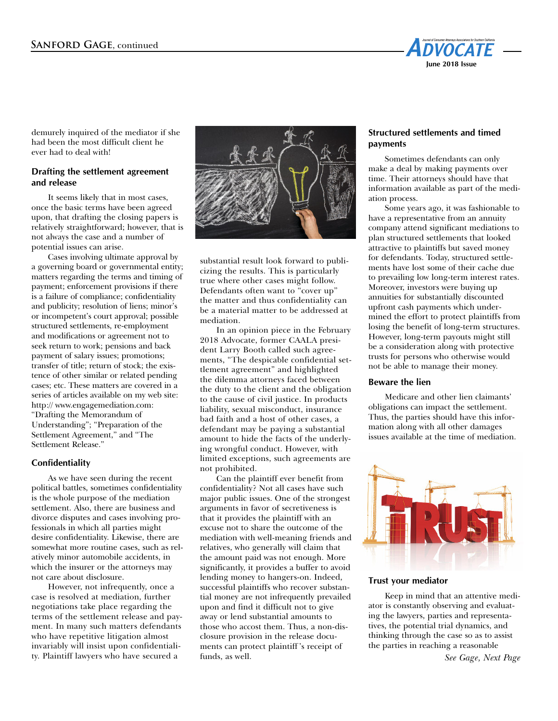

demurely inquired of the mediator if she had been the most difficult client he ever had to deal with!

# **Drafting the settlement agreement and release**

It seems likely that in most cases, once the basic terms have been agreed upon, that drafting the closing papers is relatively straightforward; however, that is not always the case and a number of potential issues can arise.

Cases involving ultimate approval by a governing board or governmental entity; matters regarding the terms and timing of payment; enforcement provisions if there is a failure of compliance; confidentiality and publicity; resolution of liens; minor's or incompetent's court approval; possible structured settlements, re-employment and modifications or agreement not to seek return to work; pensions and back payment of salary issues; promotions; transfer of title; return of stock; the existence of other similar or related pending cases; etc. These matters are covered in a series of articles available on my web site: http:// www.engagemediation.com: "Drafting the Memorandum of Understanding"; "Preparation of the Settlement Agreement," and "The Settlement Release."

#### **Confidentiality**

As we have seen during the recent political battles, sometimes confidentiality is the whole purpose of the mediation settlement. Also, there are business and divorce disputes and cases involving professionals in which all parties might desire confidentiality. Likewise, there are somewhat more routine cases, such as relatively minor automobile accidents, in which the insurer or the attorneys may not care about disclosure.

However, not infrequently, once a case is resolved at mediation, further negotiations take place regarding the terms of the settlement release and payment. In many such matters defendants who have repetitive litigation almost invariably will insist upon confidentiality. Plaintiff lawyers who have secured a



substantial result look forward to publicizing the results. This is particularly true where other cases might follow. Defendants often want to "cover up" the matter and thus confidentiality can be a material matter to be addressed at mediation.

In an opinion piece in the February 2018 Advocate, former CAALA president Larry Booth called such agreements, "The despicable confidential settlement agreement" and highlighted the dilemma attorneys faced between the duty to the client and the obligation to the cause of civil justice. In products liability, sexual misconduct, insurance bad faith and a host of other cases, a defendant may be paying a substantial amount to hide the facts of the underlying wrongful conduct. However, with limited exceptions, such agreements are not prohibited.

Can the plaintiff ever benefit from confidentiality? Not all cases have such major public issues. One of the strongest arguments in favor of secretiveness is that it provides the plaintiff with an excuse not to share the outcome of the mediation with well-meaning friends and relatives, who generally will claim that the amount paid was not enough. More significantly, it provides a buffer to avoid lending money to hangers-on. Indeed, successful plaintiffs who recover substantial money are not infrequently prevailed upon and find it difficult not to give away or lend substantial amounts to those who accost them. Thus, a non-disclosure provision in the release documents can protect plaintiff 's receipt of funds, as well.

## **Structured settlements and timed payments**

Sometimes defendants can only make a deal by making payments over time. Their attorneys should have that information available as part of the mediation process.

Some years ago, it was fashionable to have a representative from an annuity company attend significant mediations to plan structured settlements that looked attractive to plaintiffs but saved money for defendants. Today, structured settlements have lost some of their cache due to prevailing low long-term interest rates. Moreover, investors were buying up annuities for substantially discounted upfront cash payments which undermined the effort to protect plaintiffs from losing the benefit of long-term structures. However, long-term payouts might still be a consideration along with protective trusts for persons who otherwise would not be able to manage their money.

#### **Beware the lien**

Medicare and other lien claimants' obligations can impact the settlement. Thus, the parties should have this information along with all other damages issues available at the time of mediation.



#### **Trust your mediator**

Keep in mind that an attentive mediator is constantly observing and evaluating the lawyers, parties and representatives, the potential trial dynamics, and thinking through the case so as to assist the parties in reaching a reasonable